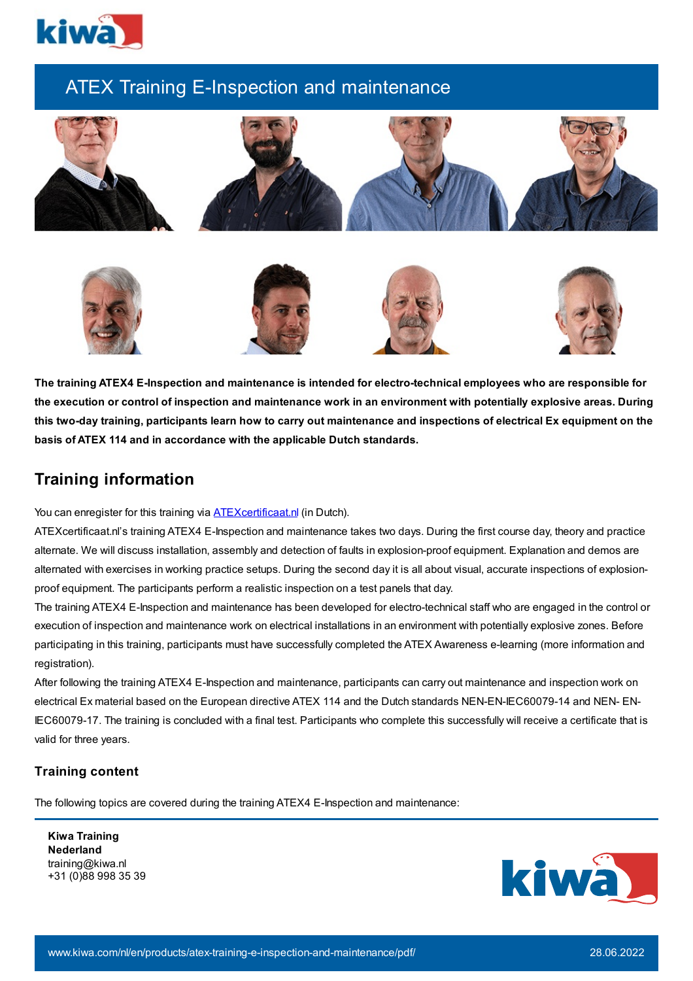

# ATEX Training E-Inspection and maintenance





**The training ATEX4 E-Inspection and maintenance is intended for electro-technical employees who are responsible for** the execution or control of inspection and maintenance work in an environment with potentially explosive areas. During this two-day training, participants learn how to carry out maintenance and inspections of electrical Ex equipment on the **basis of ATEX 114 and in accordance with the applicable Dutch standards.**

### **Training information**

You can enregister for this training via **ATEX certificaat.nl** (in Dutch).

ATEXcertificaat.nl's training ATEX4 E-Inspection and maintenance takes two days. During the first course day, theory and practice alternate. We will discuss installation, assembly and detection of faults in explosion-proof equipment. Explanation and demos are alternated with exercises in working practice setups. During the second day it is all about visual, accurate inspections of explosionproof equipment. The participants perform a realistic inspection on a test panels that day.

The training ATEX4 E-Inspection and maintenance has been developed for electro-technical staff who are engaged in the control or execution of inspection and maintenance work on electrical installations in an environment with potentially explosive zones. Before participating in this training, participants must have successfully completed the ATEX Awareness e-learning (more information and registration).

After following the training ATEX4 E-Inspection and maintenance, participants can carry out maintenance and inspection work on electrical Ex material based on the European directive ATEX 114 and the Dutch standards NEN-EN-IEC60079-14 and NEN- EN-IEC60079-17. The training is concluded with a final test. Participants who complete this successfully will receive a certificate that is valid for three years.

#### **Training content**

The following topics are covered during the training ATEX4 E-Inspection and maintenance:

**Kiwa Training Nederland** training@kiwa.nl +31 (0)88 998 35 39

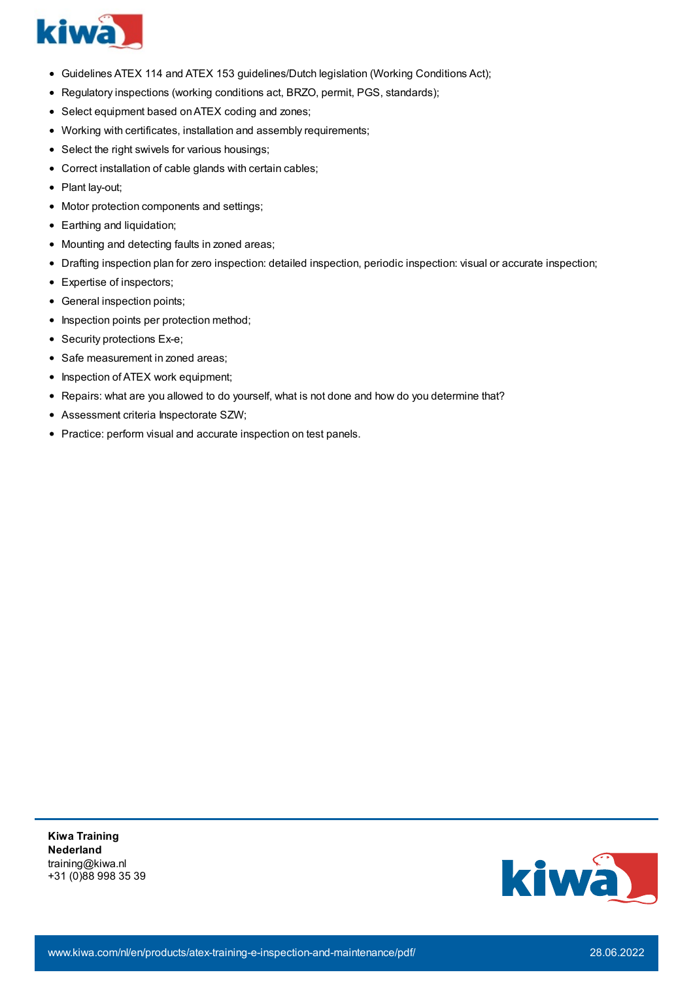

- Guidelines ATEX 114 and ATEX 153 guidelines/Dutch legislation (Working Conditions Act);
- Regulatory inspections (working conditions act, BRZO, permit, PGS, standards);  $\bullet$
- Select equipment based on ATEX coding and zones;
- Working with certificates, installation and assembly requirements;
- Select the right swivels for various housings;
- Correct installation of cable glands with certain cables;
- Plant lay-out;
- Motor protection components and settings;
- Earthing and liquidation;
- Mounting and detecting faults in zoned areas;
- Drafting inspection plan for zero inspection: detailed inspection, periodic inspection: visual or accurate inspection;
- Expertise of inspectors;
- General inspection points;
- Inspection points per protection method;
- Security protections Ex-e;
- Safe measurement in zoned areas;
- Inspection of ATEX work equipment;
- Repairs: what are you allowed to do yourself, what is not done and how do you determine that?
- Assessment criteria Inspectorate SZW;
- Practice: perform visual and accurate inspection on test panels.

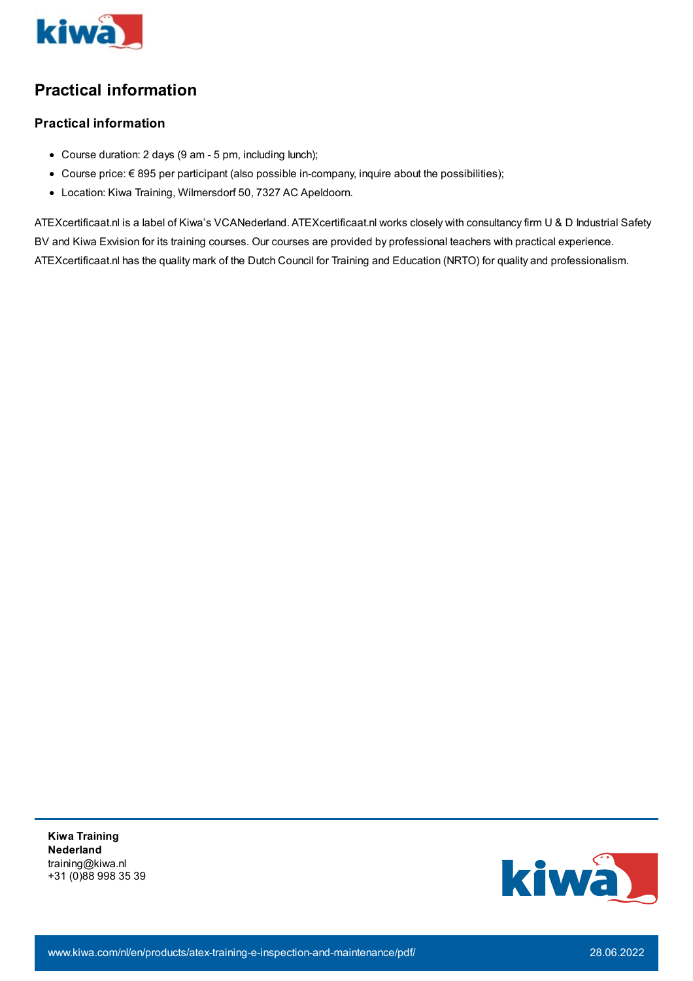

## **Practical information**

#### **Practical information**

- Course duration: 2 days (9 am 5 pm, including lunch);
- $\bullet$  Course price: € 895 per participant (also possible in-company, inquire about the possibilities);
- Location: Kiwa Training, Wilmersdorf 50, 7327 AC Apeldoorn.

ATEXcertificaat.nl is a label of Kiwa's VCANederland. ATEXcertificaat.nl works closely with consultancy firm U & D Industrial Safety BV and Kiwa Exvision for its training courses. Our courses are provided by professional teachers with practical experience. ATEXcertificaat.nl has the quality mark of the Dutch Council for Training and Education (NRTO) for quality and professionalism.

**Kiwa Training Nederland** training@kiwa.nl +31 (0)88 998 35 39